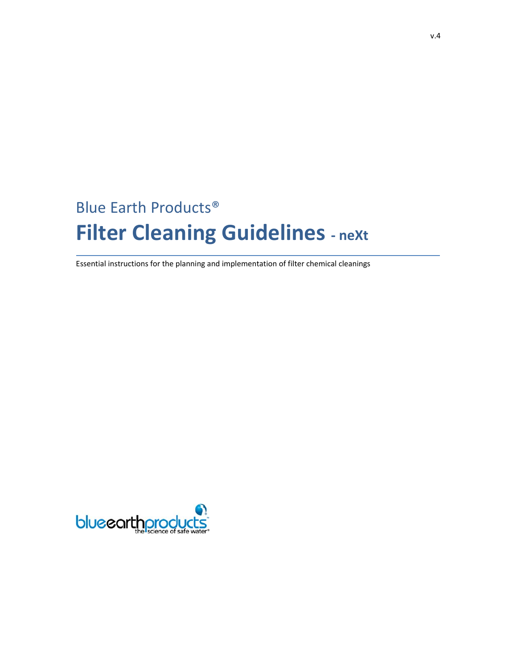# Blue Earth Products® **Filter Cleaning Guidelines - next**

Essential instructions for the planning and implementation of filter chemical cleanings

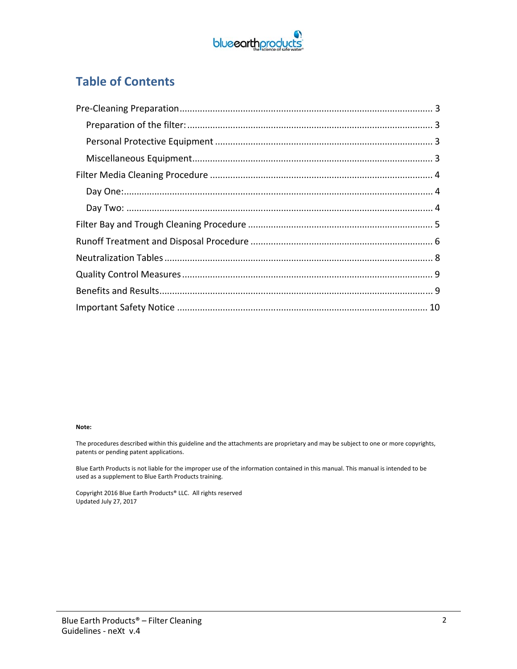

## **Table of Contents**

#### **Note:**

The procedures described within this guideline and the attachments are proprietary and may be subject to one or more copyrights, patents or pending patent applications.

Blue Earth Products is not liable for the improper use of the information contained in this manual. This manual is intended to be used as a supplement to Blue Earth Products training.

Copyright 2016 Blue Earth Products® LLC. All rights reserved Updated July 27, 2017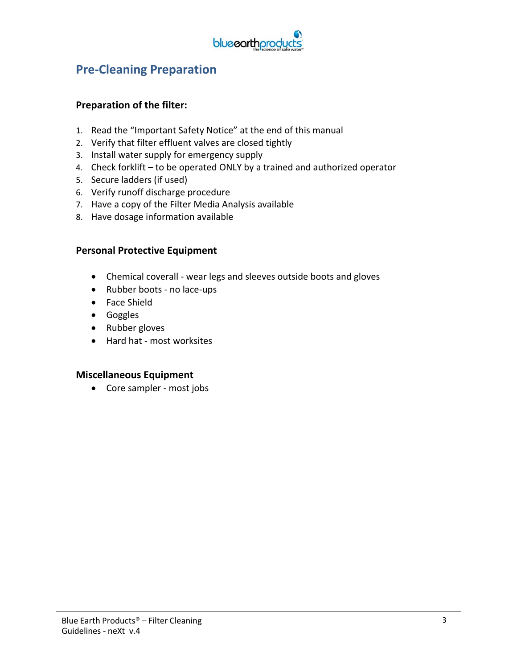

## **Pre‐Cleaning Preparation**

### **Preparation of the filter:**

- 1. Read the "Important Safety Notice" at the end of this manual
- 2. Verify that filter effluent valves are closed tightly
- 3. Install water supply for emergency supply
- 4. Check forklift to be operated ONLY by a trained and authorized operator
- 5. Secure ladders (if used)
- 6. Verify runoff discharge procedure
- 7. Have a copy of the Filter Media Analysis available
- 8. Have dosage information available

#### **Personal Protective Equipment**

- Chemical coverall wear legs and sleeves outside boots and gloves
- Rubber boots no lace-ups
- Face Shield
- Goggles
- Rubber gloves
- Hard hat most worksites

#### **Miscellaneous Equipment**

● Core sampler - most jobs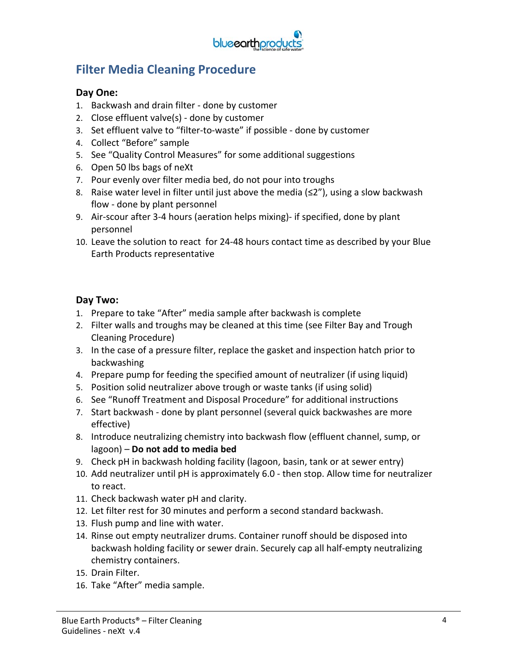

## **Filter Media Cleaning Procedure**

### **Day One:**

- 1. Backwash and drain filter ‐ done by customer
- 2. Close effluent valve(s) ‐ done by customer
- 3. Set effluent valve to "filter‐to‐waste" if possible ‐ done by customer
- 4. Collect "Before" sample
- 5. See "Quality Control Measures" for some additional suggestions
- 6. Open 50 lbs bags of neXt
- 7. Pour evenly over filter media bed, do not pour into troughs
- 8. Raise water level in filter until just above the media ( $\leq 2$ "), using a slow backwash flow ‐ done by plant personnel
- 9. Air‐scour after 3‐4 hours (aeration helps mixing)‐ if specified, done by plant personnel
- 10. Leave the solution to react for 24‐48 hours contact time as described by your Blue Earth Products representative

### **Day Two:**

- 1. Prepare to take "After" media sample after backwash is complete
- 2. Filter walls and troughs may be cleaned at this time (see Filter Bay and Trough Cleaning Procedure)
- 3. In the case of a pressure filter, replace the gasket and inspection hatch prior to backwashing
- 4. Prepare pump for feeding the specified amount of neutralizer (if using liquid)
- 5. Position solid neutralizer above trough or waste tanks (if using solid)
- 6. See "Runoff Treatment and Disposal Procedure" for additional instructions
- 7. Start backwash ‐ done by plant personnel (several quick backwashes are more effective)
- 8. Introduce neutralizing chemistry into backwash flow (effluent channel, sump, or lagoon) – **Do not add to media bed**
- 9. Check pH in backwash holding facility (lagoon, basin, tank or at sewer entry)
- 10. Add neutralizer until pH is approximately 6.0 ‐ then stop. Allow time for neutralizer to react.
- 11. Check backwash water pH and clarity.
- 12. Let filter rest for 30 minutes and perform a second standard backwash.
- 13. Flush pump and line with water.
- 14. Rinse out empty neutralizer drums. Container runoff should be disposed into backwash holding facility or sewer drain. Securely cap all half‐empty neutralizing chemistry containers.
- 15. Drain Filter.
- 16. Take "After" media sample.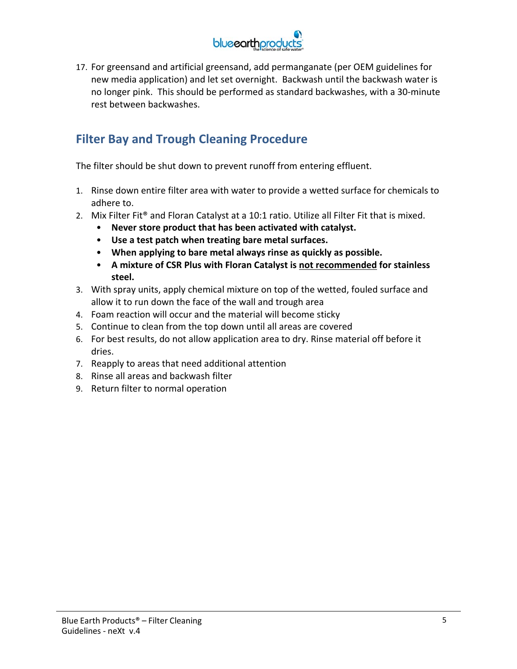

17. For greensand and artificial greensand, add permanganate (per OEM guidelines for new media application) and let set overnight. Backwash until the backwash water is no longer pink. This should be performed as standard backwashes, with a 30‐minute rest between backwashes.

## **Filter Bay and Trough Cleaning Procedure**

The filter should be shut down to prevent runoff from entering effluent.

- 1. Rinse down entire filter area with water to provide a wetted surface for chemicals to adhere to.
- 2. Mix Filter Fit<sup>®</sup> and Floran Catalyst at a 10:1 ratio. Utilize all Filter Fit that is mixed.
	- **Never store product that has been activated with catalyst.**
	- **Use a test patch when treating bare metal surfaces.**
	- **When applying to bare metal always rinse as quickly as possible.**
	- **A mixture of CSR Plus with Floran Catalyst is not recommended for stainless steel.**
- 3. With spray units, apply chemical mixture on top of the wetted, fouled surface and allow it to run down the face of the wall and trough area
- 4. Foam reaction will occur and the material will become sticky
- 5. Continue to clean from the top down until all areas are covered
- 6. For best results, do not allow application area to dry. Rinse material off before it dries.
- 7. Reapply to areas that need additional attention
- 8. Rinse all areas and backwash filter
- 9. Return filter to normal operation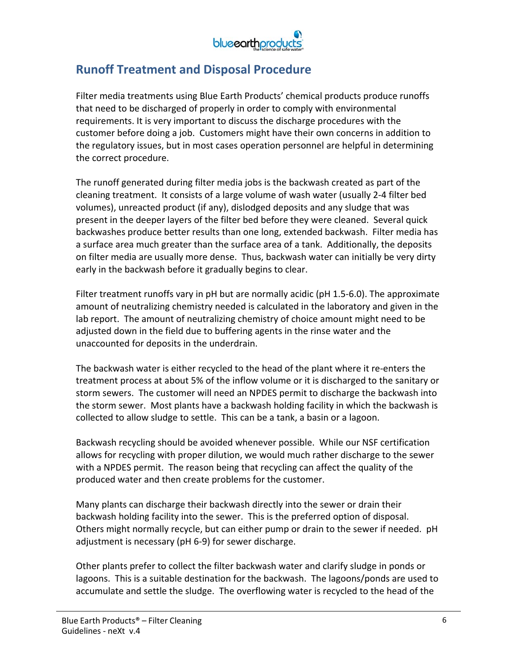

## **Runoff Treatment and Disposal Procedure**

Filter media treatments using Blue Earth Products' chemical products produce runoffs that need to be discharged of properly in order to comply with environmental requirements. It is very important to discuss the discharge procedures with the customer before doing a job. Customers might have their own concerns in addition to the regulatory issues, but in most cases operation personnel are helpful in determining the correct procedure.

The runoff generated during filter media jobs is the backwash created as part of the cleaning treatment. It consists of a large volume of wash water (usually 2‐4 filter bed volumes), unreacted product (if any), dislodged deposits and any sludge that was present in the deeper layers of the filter bed before they were cleaned. Several quick backwashes produce better results than one long, extended backwash. Filter media has a surface area much greater than the surface area of a tank. Additionally, the deposits on filter media are usually more dense. Thus, backwash water can initially be very dirty early in the backwash before it gradually begins to clear.

Filter treatment runoffs vary in pH but are normally acidic (pH 1.5‐6.0). The approximate amount of neutralizing chemistry needed is calculated in the laboratory and given in the lab report. The amount of neutralizing chemistry of choice amount might need to be adjusted down in the field due to buffering agents in the rinse water and the unaccounted for deposits in the underdrain.

The backwash water is either recycled to the head of the plant where it re‐enters the treatment process at about 5% of the inflow volume or it is discharged to the sanitary or storm sewers. The customer will need an NPDES permit to discharge the backwash into the storm sewer. Most plants have a backwash holding facility in which the backwash is collected to allow sludge to settle. This can be a tank, a basin or a lagoon.

Backwash recycling should be avoided whenever possible. While our NSF certification allows for recycling with proper dilution, we would much rather discharge to the sewer with a NPDES permit. The reason being that recycling can affect the quality of the produced water and then create problems for the customer.

Many plants can discharge their backwash directly into the sewer or drain their backwash holding facility into the sewer. This is the preferred option of disposal. Others might normally recycle, but can either pump or drain to the sewer if needed. pH adjustment is necessary (pH 6‐9) for sewer discharge.

Other plants prefer to collect the filter backwash water and clarify sludge in ponds or lagoons. This is a suitable destination for the backwash. The lagoons/ponds are used to accumulate and settle the sludge. The overflowing water is recycled to the head of the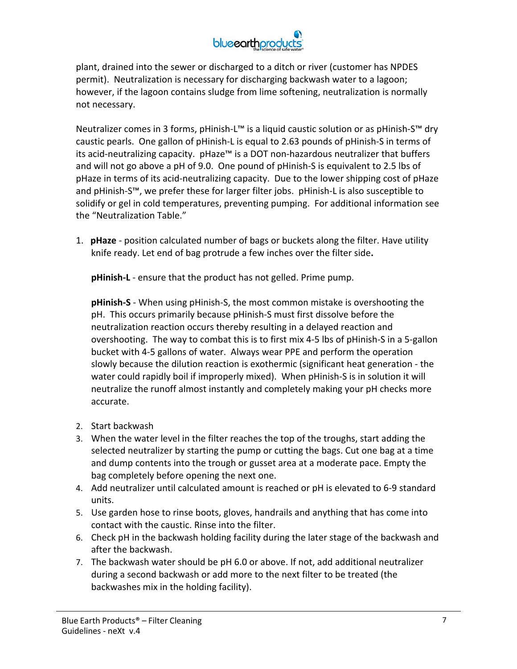

plant, drained into the sewer or discharged to a ditch or river (customer has NPDES permit). Neutralization is necessary for discharging backwash water to a lagoon; however, if the lagoon contains sludge from lime softening, neutralization is normally not necessary.

Neutralizer comes in 3 forms, pHinish-L™ is a liquid caustic solution or as pHinish-S™ dry caustic pearls. One gallon of pHinish‐L is equal to 2.63 pounds of pHinish‐S in terms of its acid‐neutralizing capacity. pHaze™ is a DOT non‐hazardous neutralizer that buffers and will not go above a pH of 9.0. One pound of pHinish‐S is equivalent to 2.5 lbs of pHaze in terms of its acid‐neutralizing capacity. Due to the lower shipping cost of pHaze and pHinish-S™, we prefer these for larger filter jobs. pHinish-L is also susceptible to solidify or gel in cold temperatures, preventing pumping. For additional information see the "Neutralization Table."

1. **pHaze** ‐ position calculated number of bags or buckets along the filter. Have utility knife ready. Let end of bag protrude a few inches over the filter side**.** 

**pHinish-L** - ensure that the product has not gelled. Prime pump.

**pHinish‐S** ‐ When using pHinish‐S, the most common mistake is overshooting the pH. This occurs primarily because pHinish‐S must first dissolve before the neutralization reaction occurs thereby resulting in a delayed reaction and overshooting. The way to combat this is to first mix 4‐5 lbs of pHinish‐S in a 5‐gallon bucket with 4‐5 gallons of water. Always wear PPE and perform the operation slowly because the dilution reaction is exothermic (significant heat generation ‐ the water could rapidly boil if improperly mixed). When pHinish‐S is in solution it will neutralize the runoff almost instantly and completely making your pH checks more accurate.

- 2. Start backwash
- 3. When the water level in the filter reaches the top of the troughs, start adding the selected neutralizer by starting the pump or cutting the bags. Cut one bag at a time and dump contents into the trough or gusset area at a moderate pace. Empty the bag completely before opening the next one.
- 4. Add neutralizer until calculated amount is reached or pH is elevated to 6‐9 standard units.
- 5. Use garden hose to rinse boots, gloves, handrails and anything that has come into contact with the caustic. Rinse into the filter.
- 6. Check pH in the backwash holding facility during the later stage of the backwash and after the backwash.
- 7. The backwash water should be pH 6.0 or above. If not, add additional neutralizer during a second backwash or add more to the next filter to be treated (the backwashes mix in the holding facility).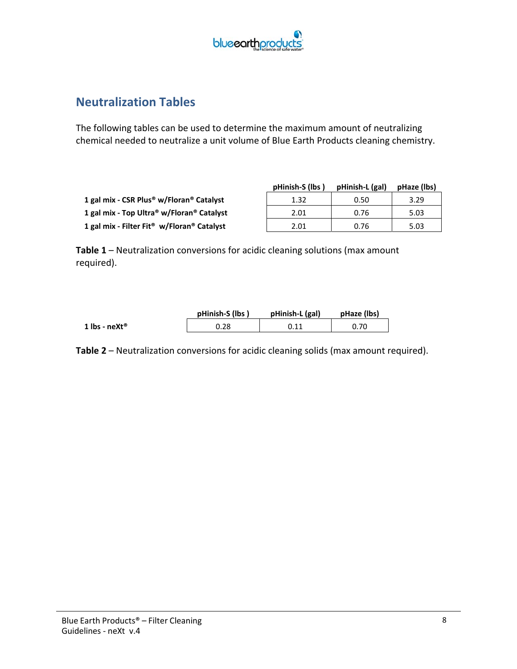

## **Neutralization Tables**

The following tables can be used to determine the maximum amount of neutralizing chemical needed to neutralize a unit volume of Blue Earth Products cleaning chemistry.

|                                                        | pHinish-S (lbs) | pHinish-L (gal) | pHaze (lbs) |
|--------------------------------------------------------|-----------------|-----------------|-------------|
| 1 gal mix - CSR Plus <sup>®</sup> w/Floran® Catalyst   | 1.32            | 0.50            | 3.29        |
| 1 gal mix - Top Ultra® w/Floran® Catalyst              | 2.01            | 0.76            | 5.03        |
| 1 gal mix - Filter Fit <sup>®</sup> w/Floran® Catalyst | 2.01            | 0.76            | 5.03        |

**Table 1** – Neutralization conversions for acidic cleaning solutions (max amount required).

|               | pHinish-S (lbs) | pHinish-L (gal) | pHaze (lbs) |
|---------------|-----------------|-----------------|-------------|
| 1 lbs - neXt® |                 |                 | 0.70        |

**Table 2** – Neutralization conversions for acidic cleaning solids (max amount required).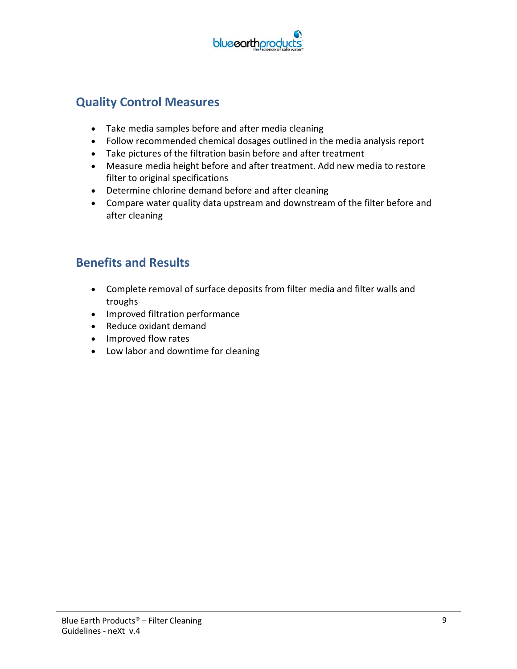

## **Quality Control Measures**

- Take media samples before and after media cleaning
- Follow recommended chemical dosages outlined in the media analysis report
- Take pictures of the filtration basin before and after treatment
- Measure media height before and after treatment. Add new media to restore filter to original specifications
- Determine chlorine demand before and after cleaning
- Compare water quality data upstream and downstream of the filter before and after cleaning

## **Benefits and Results**

- Complete removal of surface deposits from filter media and filter walls and troughs
- Improved filtration performance
- Reduce oxidant demand
- Improved flow rates
- Low labor and downtime for cleaning